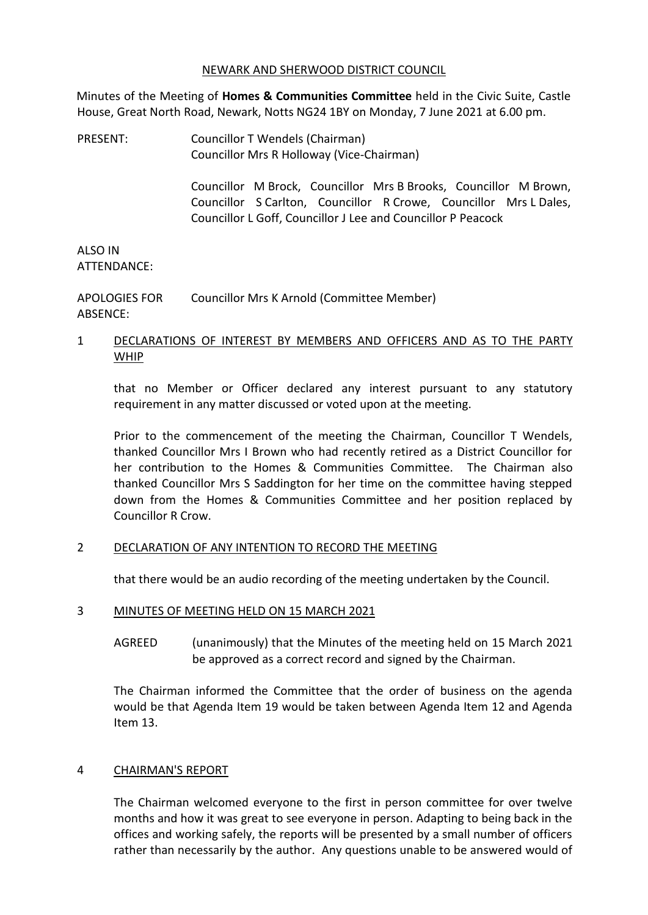#### NEWARK AND SHERWOOD DISTRICT COUNCIL

Minutes of the Meeting of **Homes & Communities Committee** held in the Civic Suite, Castle House, Great North Road, Newark, Notts NG24 1BY on Monday, 7 June 2021 at 6.00 pm.

PRESENT: Councillor T Wendels (Chairman) Councillor Mrs R Holloway (Vice-Chairman)

> Councillor M Brock, Councillor Mrs B Brooks, Councillor M Brown, Councillor S Carlton, Councillor R Crowe, Councillor Mrs L Dales, Councillor L Goff, Councillor J Lee and Councillor P Peacock

ALSO IN ATTENDANCE:

APOLOGIES FOR ABSENCE: Councillor Mrs K Arnold (Committee Member)

### 1 DECLARATIONS OF INTEREST BY MEMBERS AND OFFICERS AND AS TO THE PARTY WHIP

that no Member or Officer declared any interest pursuant to any statutory requirement in any matter discussed or voted upon at the meeting.

Prior to the commencement of the meeting the Chairman, Councillor T Wendels, thanked Councillor Mrs I Brown who had recently retired as a District Councillor for her contribution to the Homes & Communities Committee. The Chairman also thanked Councillor Mrs S Saddington for her time on the committee having stepped down from the Homes & Communities Committee and her position replaced by Councillor R Crow.

#### 2 DECLARATION OF ANY INTENTION TO RECORD THE MEETING

that there would be an audio recording of the meeting undertaken by the Council.

#### 3 MINUTES OF MEETING HELD ON 15 MARCH 2021

AGREED (unanimously) that the Minutes of the meeting held on 15 March 2021 be approved as a correct record and signed by the Chairman.

The Chairman informed the Committee that the order of business on the agenda would be that Agenda Item 19 would be taken between Agenda Item 12 and Agenda Item 13.

#### 4 CHAIRMAN'S REPORT

The Chairman welcomed everyone to the first in person committee for over twelve months and how it was great to see everyone in person. Adapting to being back in the offices and working safely, the reports will be presented by a small number of officers rather than necessarily by the author. Any questions unable to be answered would of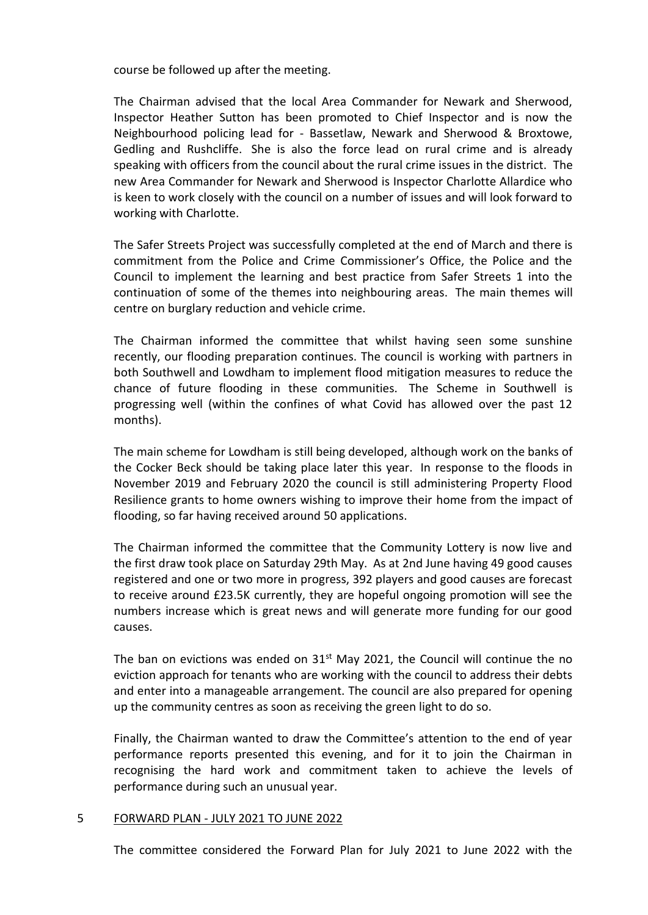course be followed up after the meeting.

The Chairman advised that the local Area Commander for Newark and Sherwood, Inspector Heather Sutton has been promoted to Chief Inspector and is now the Neighbourhood policing lead for - Bassetlaw, Newark and Sherwood & Broxtowe, Gedling and Rushcliffe. She is also the force lead on rural crime and is already speaking with officers from the council about the rural crime issues in the district. The new Area Commander for Newark and Sherwood is Inspector Charlotte Allardice who is keen to work closely with the council on a number of issues and will look forward to working with Charlotte.

The Safer Streets Project was successfully completed at the end of March and there is commitment from the Police and Crime Commissioner's Office, the Police and the Council to implement the learning and best practice from Safer Streets 1 into the continuation of some of the themes into neighbouring areas. The main themes will centre on burglary reduction and vehicle crime.

The Chairman informed the committee that whilst having seen some sunshine recently, our flooding preparation continues. The council is working with partners in both Southwell and Lowdham to implement flood mitigation measures to reduce the chance of future flooding in these communities. The Scheme in Southwell is progressing well (within the confines of what Covid has allowed over the past 12 months).

The main scheme for Lowdham is still being developed, although work on the banks of the Cocker Beck should be taking place later this year. In response to the floods in November 2019 and February 2020 the council is still administering Property Flood Resilience grants to home owners wishing to improve their home from the impact of flooding, so far having received around 50 applications.

The Chairman informed the committee that the Community Lottery is now live and the first draw took place on Saturday 29th May. As at 2nd June having 49 good causes registered and one or two more in progress, 392 players and good causes are forecast to receive around £23.5K currently, they are hopeful ongoing promotion will see the numbers increase which is great news and will generate more funding for our good causes.

The ban on evictions was ended on  $31<sup>st</sup>$  May 2021, the Council will continue the no eviction approach for tenants who are working with the council to address their debts and enter into a manageable arrangement. The council are also prepared for opening up the community centres as soon as receiving the green light to do so.

Finally, the Chairman wanted to draw the Committee's attention to the end of year performance reports presented this evening, and for it to join the Chairman in recognising the hard work and commitment taken to achieve the levels of performance during such an unusual year.

#### 5 FORWARD PLAN - JULY 2021 TO JUNE 2022

The committee considered the Forward Plan for July 2021 to June 2022 with the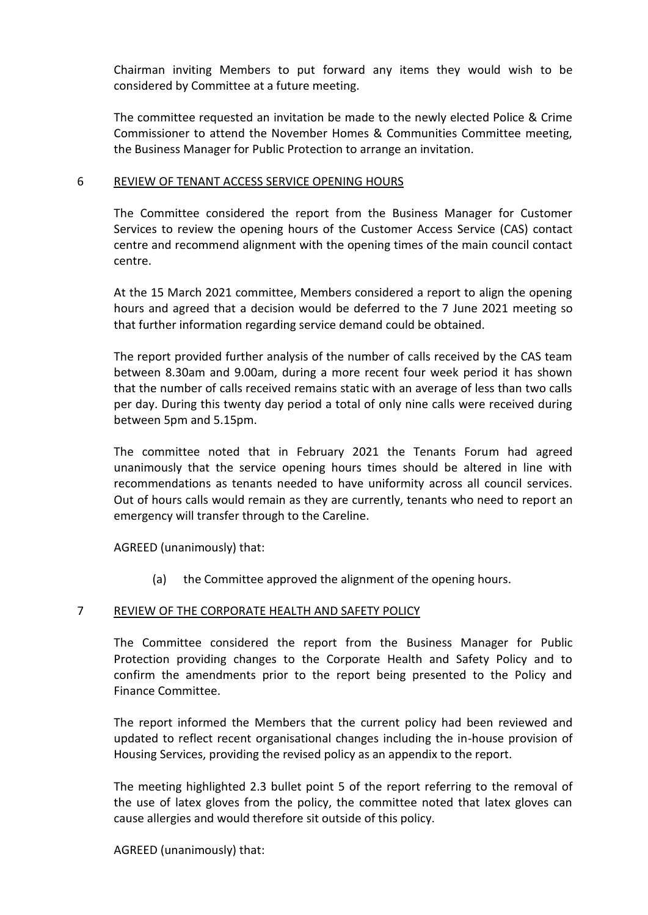Chairman inviting Members to put forward any items they would wish to be considered by Committee at a future meeting.

The committee requested an invitation be made to the newly elected Police & Crime Commissioner to attend the November Homes & Communities Committee meeting, the Business Manager for Public Protection to arrange an invitation.

#### 6 REVIEW OF TENANT ACCESS SERVICE OPENING HOURS

The Committee considered the report from the Business Manager for Customer Services to review the opening hours of the Customer Access Service (CAS) contact centre and recommend alignment with the opening times of the main council contact centre.

At the 15 March 2021 committee, Members considered a report to align the opening hours and agreed that a decision would be deferred to the 7 June 2021 meeting so that further information regarding service demand could be obtained.

The report provided further analysis of the number of calls received by the CAS team between 8.30am and 9.00am, during a more recent four week period it has shown that the number of calls received remains static with an average of less than two calls per day. During this twenty day period a total of only nine calls were received during between 5pm and 5.15pm.

The committee noted that in February 2021 the Tenants Forum had agreed unanimously that the service opening hours times should be altered in line with recommendations as tenants needed to have uniformity across all council services. Out of hours calls would remain as they are currently, tenants who need to report an emergency will transfer through to the Careline.

AGREED (unanimously) that:

(a) the Committee approved the alignment of the opening hours.

# 7 REVIEW OF THE CORPORATE HEALTH AND SAFETY POLICY

The Committee considered the report from the Business Manager for Public Protection providing changes to the Corporate Health and Safety Policy and to confirm the amendments prior to the report being presented to the Policy and Finance Committee.

The report informed the Members that the current policy had been reviewed and updated to reflect recent organisational changes including the in-house provision of Housing Services, providing the revised policy as an appendix to the report.

The meeting highlighted 2.3 bullet point 5 of the report referring to the removal of the use of latex gloves from the policy, the committee noted that latex gloves can cause allergies and would therefore sit outside of this policy.

AGREED (unanimously) that: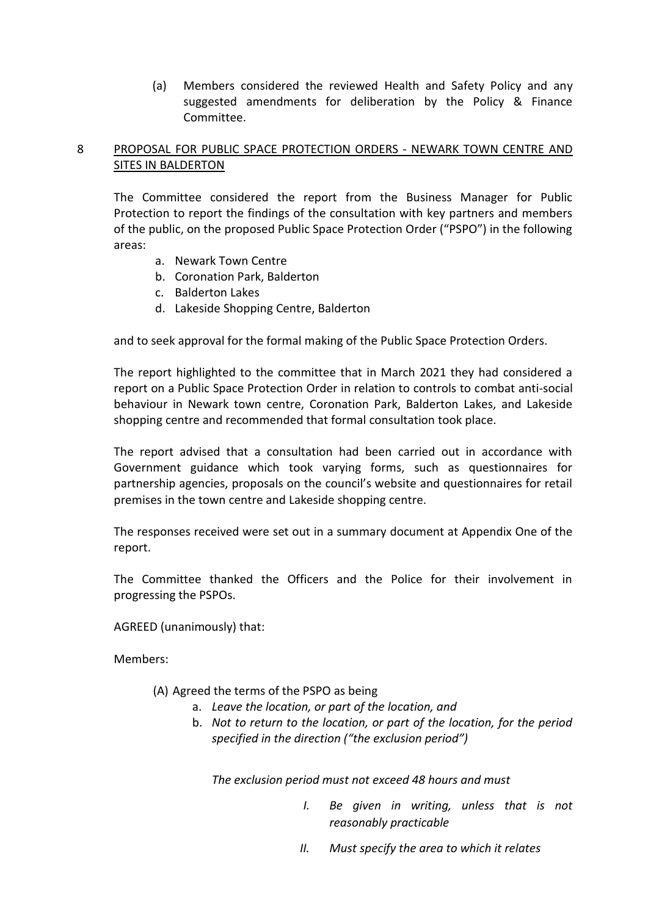(a) Members considered the reviewed Health and Safety Policy and any suggested amendments for deliberation by the Policy & Finance Committee.

# 8 PROPOSAL FOR PUBLIC SPACE PROTECTION ORDERS - NEWARK TOWN CENTRE AND SITES IN BALDERTON

The Committee considered the report from the Business Manager for Public Protection to report the findings of the consultation with key partners and members of the public, on the proposed Public Space Protection Order ("PSPO") in the following areas:

- a. Newark Town Centre
- b. Coronation Park, Balderton
- c. Balderton Lakes
- d. Lakeside Shopping Centre, Balderton

and to seek approval for the formal making of the Public Space Protection Orders.

The report highlighted to the committee that in March 2021 they had considered a report on a Public Space Protection Order in relation to controls to combat anti-social behaviour in Newark town centre, Coronation Park, Balderton Lakes, and Lakeside shopping centre and recommended that formal consultation took place.

The report advised that a consultation had been carried out in accordance with Government guidance which took varying forms, such as questionnaires for partnership agencies, proposals on the council's website and questionnaires for retail premises in the town centre and Lakeside shopping centre.

The responses received were set out in a summary document at Appendix One of the report.

The Committee thanked the Officers and the Police for their involvement in progressing the PSPOs.

AGREED (unanimously) that:

Members:

- (A) Agreed the terms of the PSPO as being
	- a. *Leave the location, or part of the location, and*
	- b. *Not to return to the location, or part of the location, for the period specified in the direction ("the exclusion period")*

*The exclusion period must not exceed 48 hours and must* 

- *I. Be given in writing, unless that is not reasonably practicable*
- *II. Must specify the area to which it relates*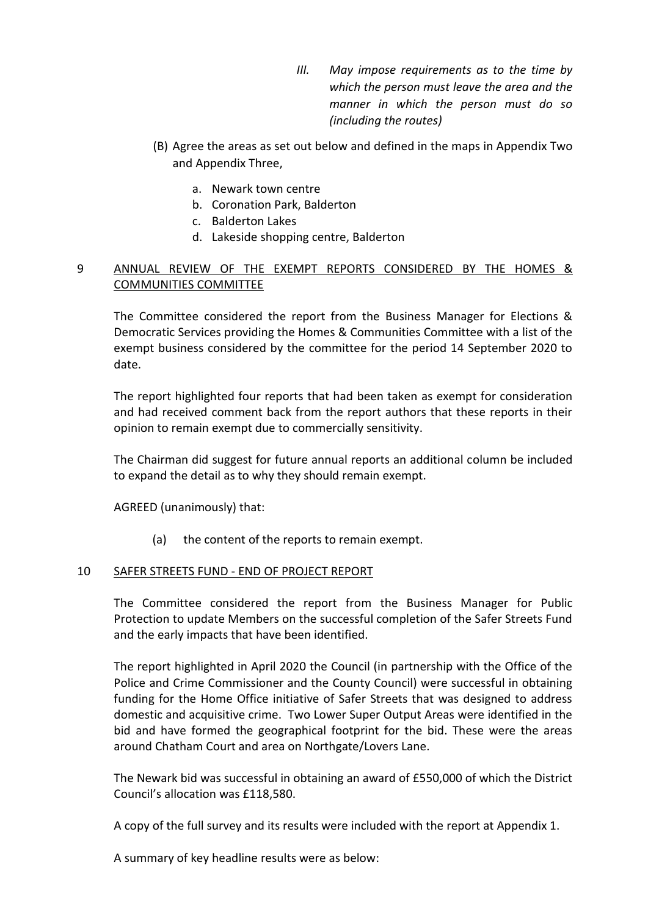- *III. May impose requirements as to the time by which the person must leave the area and the manner in which the person must do so (including the routes)*
- (B) Agree the areas as set out below and defined in the maps in Appendix Two and Appendix Three,
	- a. Newark town centre
	- b. Coronation Park, Balderton
	- c. Balderton Lakes
	- d. Lakeside shopping centre, Balderton

# 9 ANNUAL REVIEW OF THE EXEMPT REPORTS CONSIDERED BY THE HOMES & COMMUNITIES COMMITTEE

The Committee considered the report from the Business Manager for Elections & Democratic Services providing the Homes & Communities Committee with a list of the exempt business considered by the committee for the period 14 September 2020 to date.

The report highlighted four reports that had been taken as exempt for consideration and had received comment back from the report authors that these reports in their opinion to remain exempt due to commercially sensitivity.

The Chairman did suggest for future annual reports an additional column be included to expand the detail as to why they should remain exempt.

AGREED (unanimously) that:

(a) the content of the reports to remain exempt.

#### 10 SAFER STREETS FUND - END OF PROJECT REPORT

The Committee considered the report from the Business Manager for Public Protection to update Members on the successful completion of the Safer Streets Fund and the early impacts that have been identified.

The report highlighted in April 2020 the Council (in partnership with the Office of the Police and Crime Commissioner and the County Council) were successful in obtaining funding for the Home Office initiative of Safer Streets that was designed to address domestic and acquisitive crime. Two Lower Super Output Areas were identified in the bid and have formed the geographical footprint for the bid. These were the areas around Chatham Court and area on Northgate/Lovers Lane.

The Newark bid was successful in obtaining an award of £550,000 of which the District Council's allocation was £118,580.

A copy of the full survey and its results were included with the report at Appendix 1.

A summary of key headline results were as below: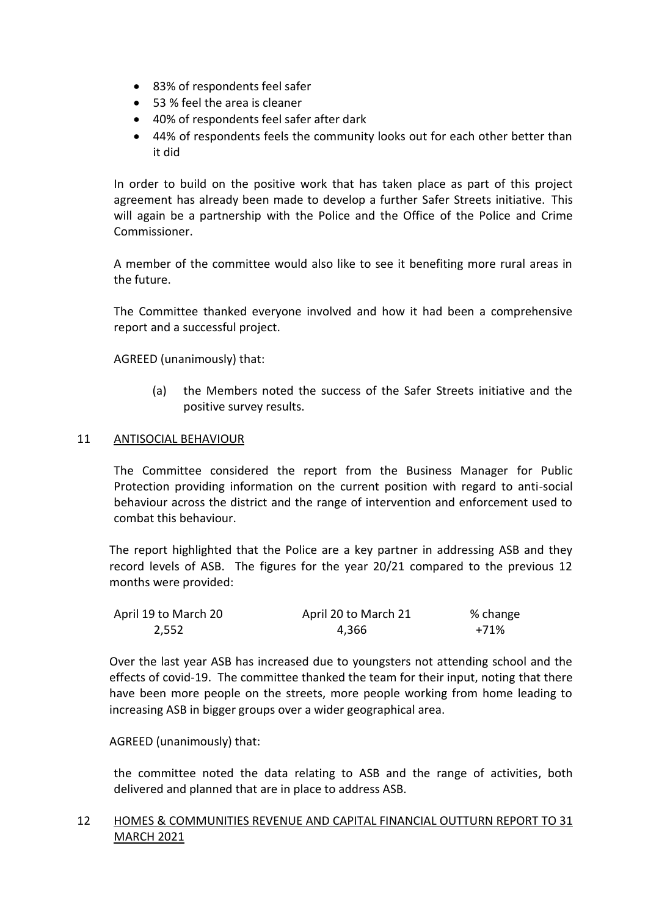- 83% of respondents feel safer
- 53 % feel the area is cleaner
- 40% of respondents feel safer after dark
- 44% of respondents feels the community looks out for each other better than it did

In order to build on the positive work that has taken place as part of this project agreement has already been made to develop a further Safer Streets initiative. This will again be a partnership with the Police and the Office of the Police and Crime Commissioner.

A member of the committee would also like to see it benefiting more rural areas in the future.

The Committee thanked everyone involved and how it had been a comprehensive report and a successful project.

AGREED (unanimously) that:

(a) the Members noted the success of the Safer Streets initiative and the positive survey results.

#### 11 ANTISOCIAL BEHAVIOUR

The Committee considered the report from the Business Manager for Public Protection providing information on the current position with regard to anti-social behaviour across the district and the range of intervention and enforcement used to combat this behaviour.

The report highlighted that the Police are a key partner in addressing ASB and they record levels of ASB. The figures for the year 20/21 compared to the previous 12 months were provided:

| April 19 to March 20 | April 20 to March 21 | % change |
|----------------------|----------------------|----------|
| 2,552                | 4,366                | +71%     |

Over the last year ASB has increased due to youngsters not attending school and the effects of covid-19. The committee thanked the team for their input, noting that there have been more people on the streets, more people working from home leading to increasing ASB in bigger groups over a wider geographical area.

AGREED (unanimously) that:

the committee noted the data relating to ASB and the range of activities, both delivered and planned that are in place to address ASB.

# 12 HOMES & COMMUNITIES REVENUE AND CAPITAL FINANCIAL OUTTURN REPORT TO 31 MARCH 2021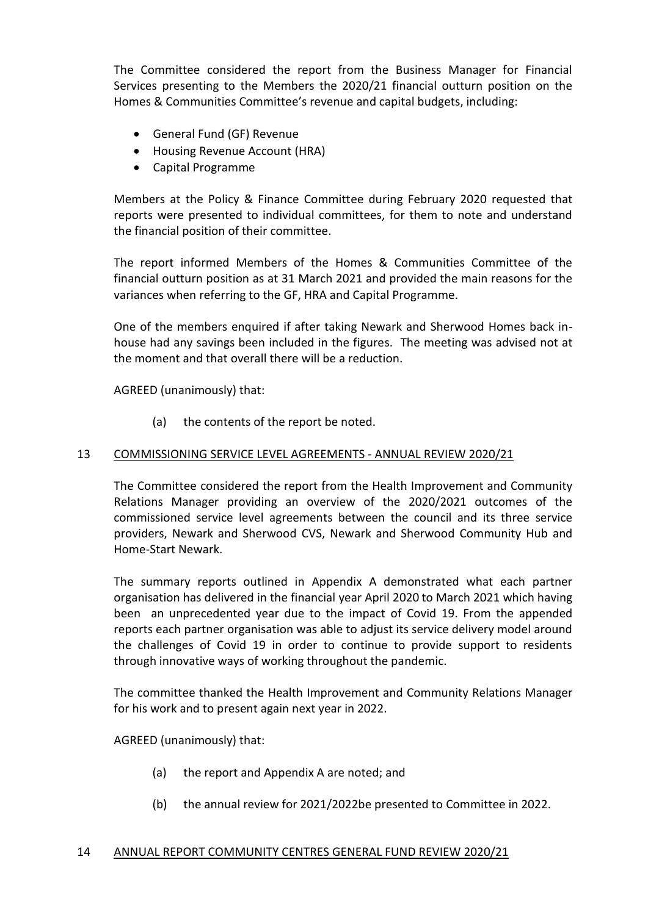The Committee considered the report from the Business Manager for Financial Services presenting to the Members the 2020/21 financial outturn position on the Homes & Communities Committee's revenue and capital budgets, including:

- General Fund (GF) Revenue
- Housing Revenue Account (HRA)
- Capital Programme

Members at the Policy & Finance Committee during February 2020 requested that reports were presented to individual committees, for them to note and understand the financial position of their committee.

The report informed Members of the Homes & Communities Committee of the financial outturn position as at 31 March 2021 and provided the main reasons for the variances when referring to the GF, HRA and Capital Programme.

One of the members enquired if after taking Newark and Sherwood Homes back inhouse had any savings been included in the figures. The meeting was advised not at the moment and that overall there will be a reduction.

AGREED (unanimously) that:

(a) the contents of the report be noted.

### 13 COMMISSIONING SERVICE LEVEL AGREEMENTS - ANNUAL REVIEW 2020/21

The Committee considered the report from the Health Improvement and Community Relations Manager providing an overview of the 2020/2021 outcomes of the commissioned service level agreements between the council and its three service providers, Newark and Sherwood CVS, Newark and Sherwood Community Hub and Home-Start Newark.

The summary reports outlined in Appendix A demonstrated what each partner organisation has delivered in the financial year April 2020 to March 2021 which having been an unprecedented year due to the impact of Covid 19. From the appended reports each partner organisation was able to adjust its service delivery model around the challenges of Covid 19 in order to continue to provide support to residents through innovative ways of working throughout the pandemic.

The committee thanked the Health Improvement and Community Relations Manager for his work and to present again next year in 2022.

AGREED (unanimously) that:

- (a) the report and Appendix A are noted; and
- (b) the annual review for 2021/2022be presented to Committee in 2022.

#### 14 ANNUAL REPORT COMMUNITY CENTRES GENERAL FUND REVIEW 2020/21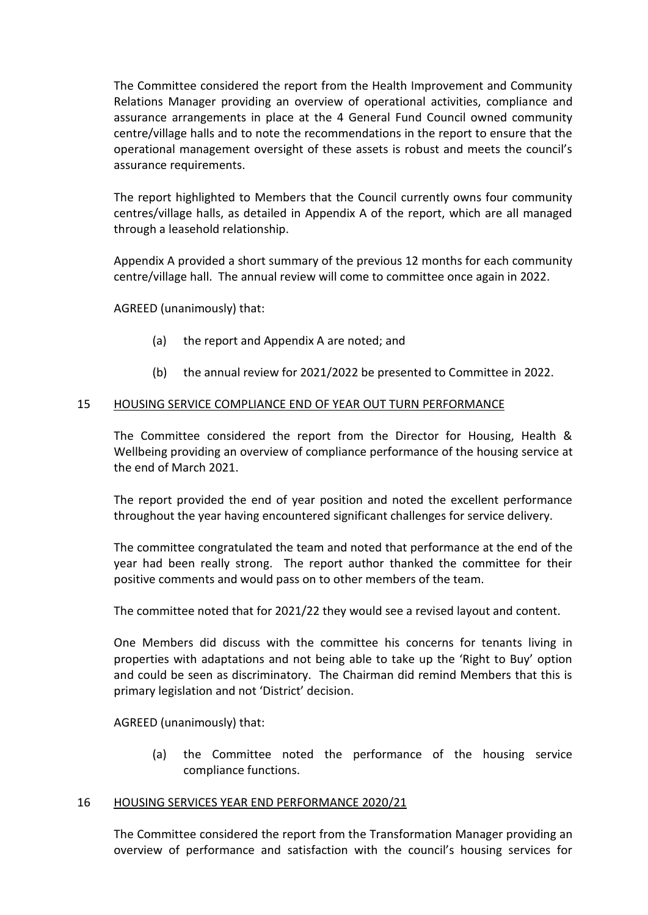The Committee considered the report from the Health Improvement and Community Relations Manager providing an overview of operational activities, compliance and assurance arrangements in place at the 4 General Fund Council owned community centre/village halls and to note the recommendations in the report to ensure that the operational management oversight of these assets is robust and meets the council's assurance requirements.

The report highlighted to Members that the Council currently owns four community centres/village halls, as detailed in Appendix A of the report, which are all managed through a leasehold relationship.

Appendix A provided a short summary of the previous 12 months for each community centre/village hall. The annual review will come to committee once again in 2022.

AGREED (unanimously) that:

- (a) the report and Appendix A are noted; and
- (b) the annual review for 2021/2022 be presented to Committee in 2022.

#### 15 HOUSING SERVICE COMPLIANCE END OF YEAR OUT TURN PERFORMANCE

The Committee considered the report from the Director for Housing, Health & Wellbeing providing an overview of compliance performance of the housing service at the end of March 2021.

The report provided the end of year position and noted the excellent performance throughout the year having encountered significant challenges for service delivery.

The committee congratulated the team and noted that performance at the end of the year had been really strong. The report author thanked the committee for their positive comments and would pass on to other members of the team.

The committee noted that for 2021/22 they would see a revised layout and content.

One Members did discuss with the committee his concerns for tenants living in properties with adaptations and not being able to take up the 'Right to Buy' option and could be seen as discriminatory. The Chairman did remind Members that this is primary legislation and not 'District' decision.

AGREED (unanimously) that:

(a) the Committee noted the performance of the housing service compliance functions.

#### 16 HOUSING SERVICES YEAR END PERFORMANCE 2020/21

The Committee considered the report from the Transformation Manager providing an overview of performance and satisfaction with the council's housing services for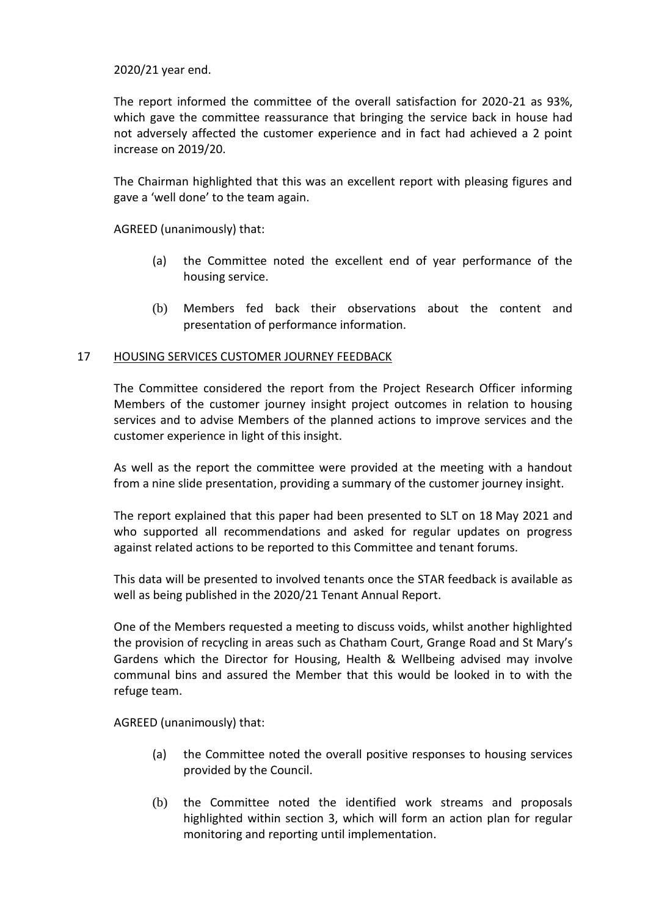2020/21 year end.

The report informed the committee of the overall satisfaction for 2020-21 as 93%, which gave the committee reassurance that bringing the service back in house had not adversely affected the customer experience and in fact had achieved a 2 point increase on 2019/20.

The Chairman highlighted that this was an excellent report with pleasing figures and gave a 'well done' to the team again.

AGREED (unanimously) that:

- (a) the Committee noted the excellent end of year performance of the housing service.
- (b) Members fed back their observations about the content and presentation of performance information.

### 17 HOUSING SERVICES CUSTOMER JOURNEY FEEDBACK

The Committee considered the report from the Project Research Officer informing Members of the customer journey insight project outcomes in relation to housing services and to advise Members of the planned actions to improve services and the customer experience in light of this insight.

As well as the report the committee were provided at the meeting with a handout from a nine slide presentation, providing a summary of the customer journey insight.

The report explained that this paper had been presented to SLT on 18 May 2021 and who supported all recommendations and asked for regular updates on progress against related actions to be reported to this Committee and tenant forums.

This data will be presented to involved tenants once the STAR feedback is available as well as being published in the 2020/21 Tenant Annual Report.

One of the Members requested a meeting to discuss voids, whilst another highlighted the provision of recycling in areas such as Chatham Court, Grange Road and St Mary's Gardens which the Director for Housing, Health & Wellbeing advised may involve communal bins and assured the Member that this would be looked in to with the refuge team.

AGREED (unanimously) that:

- (a) the Committee noted the overall positive responses to housing services provided by the Council.
- (b) the Committee noted the identified work streams and proposals highlighted within section 3, which will form an action plan for regular monitoring and reporting until implementation.